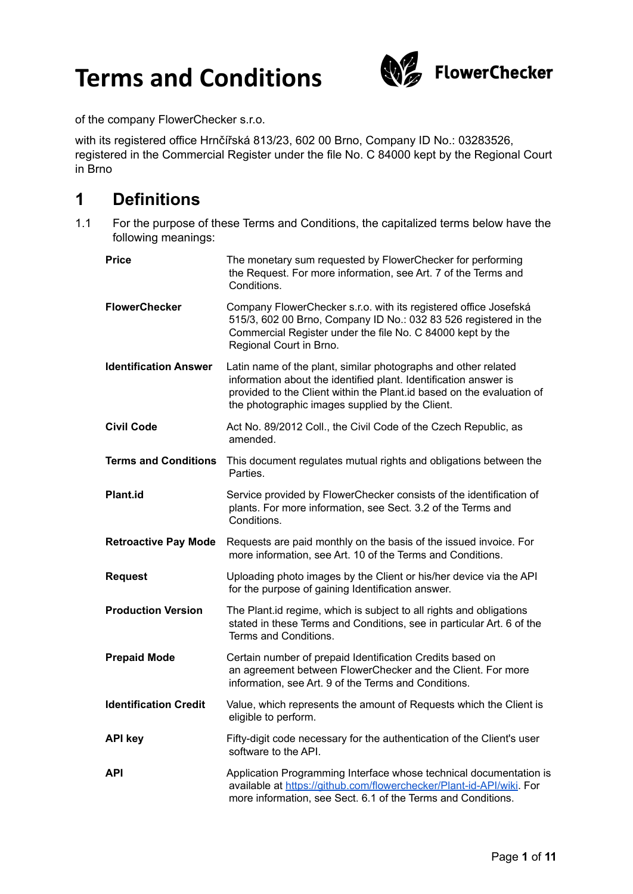

of the company FlowerChecker s.r.o.

with its registered office Hrnčířská 813/23, 602 00 Brno, Company ID No.: 03283526, registered in the Commercial Register under the file No. C 84000 kept by the Regional Court in Brno

### **1 Definitions**

1.1 For the purpose of these Terms and Conditions, the capitalized terms below have the following meanings:

| <b>Price</b>                 | The monetary sum requested by FlowerChecker for performing<br>the Request. For more information, see Art. 7 of the Terms and<br>Conditions.                                                                                                                    |
|------------------------------|----------------------------------------------------------------------------------------------------------------------------------------------------------------------------------------------------------------------------------------------------------------|
| <b>FlowerChecker</b>         | Company FlowerChecker s.r.o. with its registered office Josefská<br>515/3, 602 00 Brno, Company ID No.: 032 83 526 registered in the<br>Commercial Register under the file No. C 84000 kept by the<br>Regional Court in Brno.                                  |
| <b>Identification Answer</b> | Latin name of the plant, similar photographs and other related<br>information about the identified plant. Identification answer is<br>provided to the Client within the Plant.id based on the evaluation of<br>the photographic images supplied by the Client. |
| <b>Civil Code</b>            | Act No. 89/2012 Coll., the Civil Code of the Czech Republic, as<br>amended.                                                                                                                                                                                    |
| <b>Terms and Conditions</b>  | This document regulates mutual rights and obligations between the<br>Parties.                                                                                                                                                                                  |
| <b>Plant.id</b>              | Service provided by FlowerChecker consists of the identification of<br>plants. For more information, see Sect. 3.2 of the Terms and<br>Conditions.                                                                                                             |
| <b>Retroactive Pay Mode</b>  | Requests are paid monthly on the basis of the issued invoice. For<br>more information, see Art. 10 of the Terms and Conditions.                                                                                                                                |
| <b>Request</b>               | Uploading photo images by the Client or his/her device via the API<br>for the purpose of gaining Identification answer.                                                                                                                                        |
| <b>Production Version</b>    | The Plant. id regime, which is subject to all rights and obligations<br>stated in these Terms and Conditions, see in particular Art. 6 of the<br>Terms and Conditions.                                                                                         |
| <b>Prepaid Mode</b>          | Certain number of prepaid Identification Credits based on<br>an agreement between FlowerChecker and the Client. For more<br>information, see Art. 9 of the Terms and Conditions.                                                                               |
| <b>Identification Credit</b> | Value, which represents the amount of Requests which the Client is<br>eligible to perform.                                                                                                                                                                     |
| <b>API key</b>               | Fifty-digit code necessary for the authentication of the Client's user<br>software to the API.                                                                                                                                                                 |
| API                          | Application Programming Interface whose technical documentation is<br>available at https://github.com/flowerchecker/Plant-id-API/wiki. For<br>more information, see Sect. 6.1 of the Terms and Conditions.                                                     |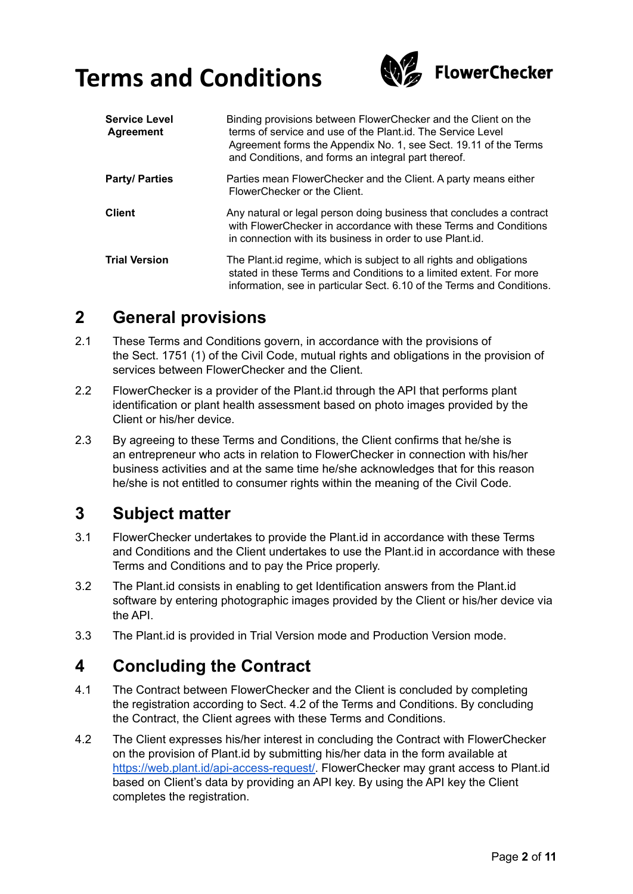

| <b>Service Level</b><br><b>Agreement</b> | Binding provisions between FlowerChecker and the Client on the<br>terms of service and use of the Plant. id. The Service Level<br>Agreement forms the Appendix No. 1, see Sect. 19.11 of the Terms<br>and Conditions, and forms an integral part thereof. |
|------------------------------------------|-----------------------------------------------------------------------------------------------------------------------------------------------------------------------------------------------------------------------------------------------------------|
| <b>Party/Parties</b>                     | Parties mean FlowerChecker and the Client. A party means either<br>FlowerChecker or the Client.                                                                                                                                                           |
| <b>Client</b>                            | Any natural or legal person doing business that concludes a contract<br>with FlowerChecker in accordance with these Terms and Conditions<br>in connection with its business in order to use Plant.id.                                                     |
| <b>Trial Version</b>                     | The Plant. id regime, which is subject to all rights and obligations<br>stated in these Terms and Conditions to a limited extent. For more<br>information, see in particular Sect. 6.10 of the Terms and Conditions.                                      |

### **2 General provisions**

- 2.1 These Terms and Conditions govern, in accordance with the provisions of the Sect. 1751 (1) of the Civil Code, mutual rights and obligations in the provision of services between FlowerChecker and the Client.
- 2.2 FlowerChecker is a provider of the Plant.id through the API that performs plant identification or plant health assessment based on photo images provided by the Client or his/her device.
- 2.3 By agreeing to these Terms and Conditions, the Client confirms that he/she is an entrepreneur who acts in relation to FlowerChecker in connection with his/her business activities and at the same time he/she acknowledges that for this reason he/she is not entitled to consumer rights within the meaning of the Civil Code.

## **3 Subject matter**

- 3.1 FlowerChecker undertakes to provide the Plant.id in accordance with these Terms and Conditions and the Client undertakes to use the Plant.id in accordance with these Terms and Conditions and to pay the Price properly.
- 3.2 The Plant.id consists in enabling to get Identification answers from the Plant.id software by entering photographic images provided by the Client or his/her device via the API.
- 3.3 The Plant.id is provided in Trial Version mode and Production Version mode.

### **4 Concluding the Contract**

- 4.1 The Contract between FlowerChecker and the Client is concluded by completing the registration according to Sect. 4.2 of the Terms and Conditions. By concluding the Contract, the Client agrees with these Terms and Conditions.
- 4.2 The Client expresses his/her interest in concluding the Contract with FlowerChecker on the provision of Plant.id by submitting his/her data in the form available at [https://web.plant.id/api-access-request/.](https://web.plant.id/api-access-request/) FlowerChecker may grant access to Plant.id based on Client's data by providing an API key. By using the API key the Client completes the registration.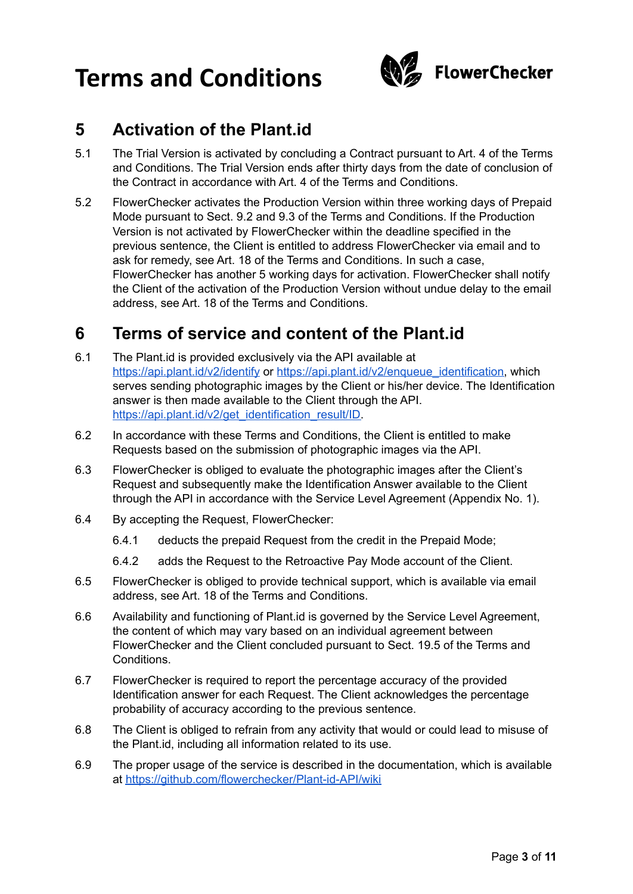

### **5 Activation of the Plant.id**

- 5.1 The Trial Version is activated by concluding a Contract pursuant to Art. 4 of the Terms and Conditions. The Trial Version ends after thirty days from the date of conclusion of the Contract in accordance with Art. 4 of the Terms and Conditions.
- 5.2 FlowerChecker activates the Production Version within three working days of Prepaid Mode pursuant to Sect. 9.2 and 9.3 of the Terms and Conditions. If the Production Version is not activated by FlowerChecker within the deadline specified in the previous sentence, the Client is entitled to address FlowerChecker via email and to ask for remedy, see Art. 18 of the Terms and Conditions. In such a case, FlowerChecker has another 5 working days for activation. FlowerChecker shall notify the Client of the activation of the Production Version without undue delay to the email address, see Art. 18 of the Terms and Conditions.

### **6 Terms of service and content of the Plant.id**

- 6.1 The Plant.id is provided exclusively via the API available at <https://api.plant.id/v2/identify> or [https://api.plant.id/v2/enqueue\\_identification,](https://api.plant.id/v2/enqueue_identification) which serves sending photographic images by the Client or his/her device. The Identification answer is then made available to the Client through the API. [https://api.plant.id/v2/get\\_identification\\_result/ID.](https://api.plant.id/v2/get_identification_result/ID)
- 6.2 In accordance with these Terms and Conditions, the Client is entitled to make Requests based on the submission of photographic images via the API.
- 6.3 FlowerChecker is obliged to evaluate the photographic images after the Client's Request and subsequently make the Identification Answer available to the Client through the API in accordance with the Service Level Agreement (Appendix No. 1).
- 6.4 By accepting the Request, FlowerChecker:
	- 6.4.1 deducts the prepaid Request from the credit in the Prepaid Mode;
	- 6.4.2 adds the Request to the Retroactive Pay Mode account of the Client.
- 6.5 FlowerChecker is obliged to provide technical support, which is available via email address, see Art. 18 of the Terms and Conditions.
- 6.6 Availability and functioning of Plant.id is governed by the Service Level Agreement, the content of which may vary based on an individual agreement between FlowerChecker and the Client concluded pursuant to Sect. 19.5 of the Terms and **Conditions**
- 6.7 FlowerChecker is required to report the percentage accuracy of the provided Identification answer for each Request. The Client acknowledges the percentage probability of accuracy according to the previous sentence.
- 6.8 The Client is obliged to refrain from any activity that would or could lead to misuse of the Plant.id, including all information related to its use.
- 6.9 The proper usage of the service is described in the documentation, which is available at <https://github.com/flowerchecker/Plant-id-API/wiki>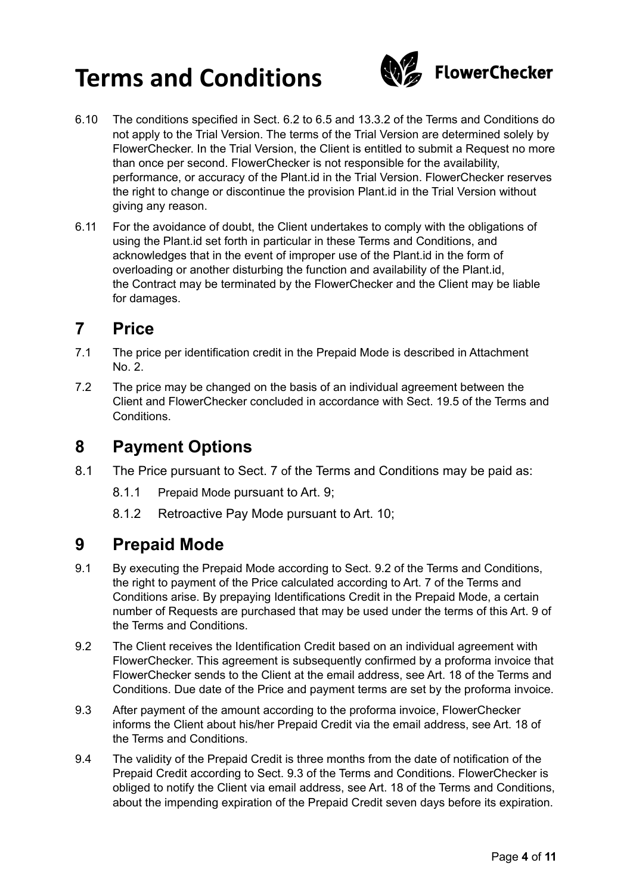

- 6.10 The conditions specified in Sect. 6.2 to 6.5 and 13.3.2 of the Terms and Conditions do not apply to the Trial Version. The terms of the Trial Version are determined solely by FlowerChecker. In the Trial Version, the Client is entitled to submit a Request no more than once per second. FlowerChecker is not responsible for the availability, performance, or accuracy of the Plant.id in the Trial Version. FlowerChecker reserves the right to change or discontinue the provision Plant.id in the Trial Version without giving any reason.
- 6.11 For the avoidance of doubt, the Client undertakes to comply with the obligations of using the Plant.id set forth in particular in these Terms and Conditions, and acknowledges that in the event of improper use of the Plant.id in the form of overloading or another disturbing the function and availability of the Plant.id, the Contract may be terminated by the FlowerChecker and the Client may be liable for damages.

#### **7 Price**

- 7.1 The price per identification credit in the Prepaid Mode is described in Attachment No. 2.
- 7.2 The price may be changed on the basis of an individual agreement between the Client and FlowerChecker concluded in accordance with Sect. 19.5 of the Terms and Conditions.

#### **8 Payment Options**

- 8.1 The Price pursuant to Sect. 7 of the Terms and Conditions may be paid as:
	- 8.1.1 Prepaid Mode pursuant to Art. 9;
	- 8.1.2 Retroactive Pay Mode pursuant to Art. 10;

#### **9 Prepaid Mode**

- 9.1 By executing the Prepaid Mode according to Sect. 9.2 of the Terms and Conditions, the right to payment of the Price calculated according to Art. 7 of the Terms and Conditions arise. By prepaying Identifications Credit in the Prepaid Mode, a certain number of Requests are purchased that may be used under the terms of this Art. 9 of the Terms and Conditions.
- 9.2 The Client receives the Identification Credit based on an individual agreement with FlowerChecker. This agreement is subsequently confirmed by a proforma invoice that FlowerChecker sends to the Client at the email address, see Art. 18 of the Terms and Conditions. Due date of the Price and payment terms are set by the proforma invoice.
- 9.3 After payment of the amount according to the proforma invoice, FlowerChecker informs the Client about his/her Prepaid Credit via the email address, see Art. 18 of the Terms and Conditions.
- 9.4 The validity of the Prepaid Credit is three months from the date of notification of the Prepaid Credit according to Sect. 9.3 of the Terms and Conditions. FlowerChecker is obliged to notify the Client via email address, see Art. 18 of the Terms and Conditions, about the impending expiration of the Prepaid Credit seven days before its expiration.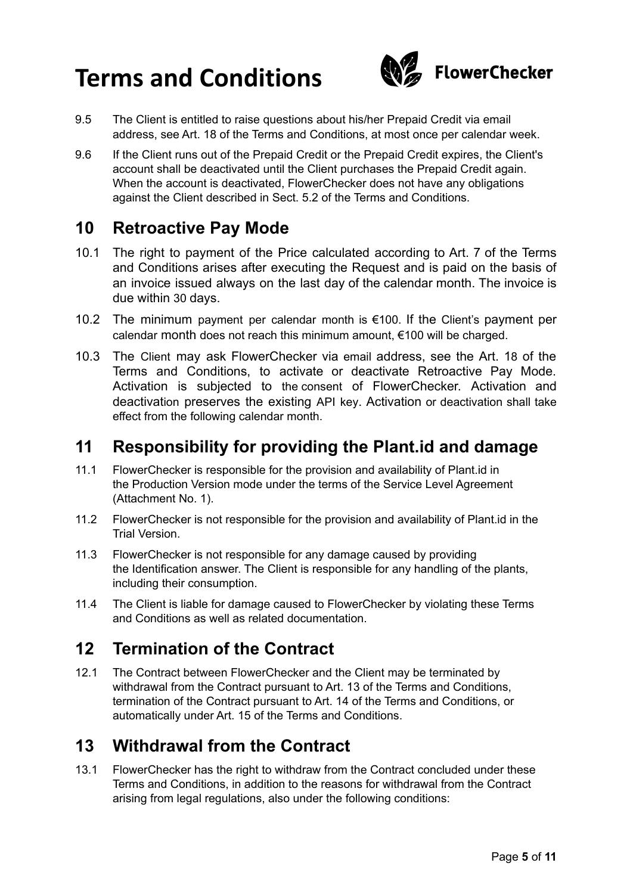

- 9.5 The Client is entitled to raise questions about his/her Prepaid Credit via email address, see Art. 18 of the Terms and Conditions, at most once per calendar week.
- 9.6 If the Client runs out of the Prepaid Credit or the Prepaid Credit expires, the Client's account shall be deactivated until the Client purchases the Prepaid Credit again. When the account is deactivated, FlowerChecker does not have any obligations against the Client described in Sect. 5.2 of the Terms and Conditions.

#### **10 Retroactive Pay Mode**

- 10.1 The right to payment of the Price calculated according to Art. 7 of the Terms and Conditions arises after executing the Request and is paid on the basis of an invoice issued always on the last day of the calendar month. The invoice is due within 30 days.
- 10.2 The minimum payment per calendar month is €100. If the Client's payment per calendar month does not reach this minimum amount, €100 will be charged.
- 10.3 The Client may ask FlowerChecker via email address, see the Art. 18 of the Terms and Conditions, to activate or deactivate Retroactive Pay Mode. Activation is subjected to the consent of FlowerChecker. Activation and deactivation preserves the existing API key. Activation or deactivation shall take effect from the following calendar month.

#### **11 Responsibility for providing the Plant.id and damage**

- 11.1 FlowerChecker is responsible for the provision and availability of Plant.id in the Production Version mode under the terms of the Service Level Agreement (Attachment No. 1).
- 11.2 FlowerChecker is not responsible for the provision and availability of Plant.id in the Trial Version.
- 11.3 FlowerChecker is not responsible for any damage caused by providing the Identification answer. The Client is responsible for any handling of the plants, including their consumption.
- 11.4 The Client is liable for damage caused to FlowerChecker by violating these Terms and Conditions as well as related documentation.

### **12 Termination of the Contract**

12.1 The Contract between FlowerChecker and the Client may be terminated by withdrawal from the Contract pursuant to Art. 13 of the Terms and Conditions, termination of the Contract pursuant to Art. 14 of the Terms and Conditions, or automatically under Art. 15 of the Terms and Conditions.

### **13 Withdrawal from the Contract**

13.1 FlowerChecker has the right to withdraw from the Contract concluded under these Terms and Conditions, in addition to the reasons for withdrawal from the Contract arising from legal regulations, also under the following conditions: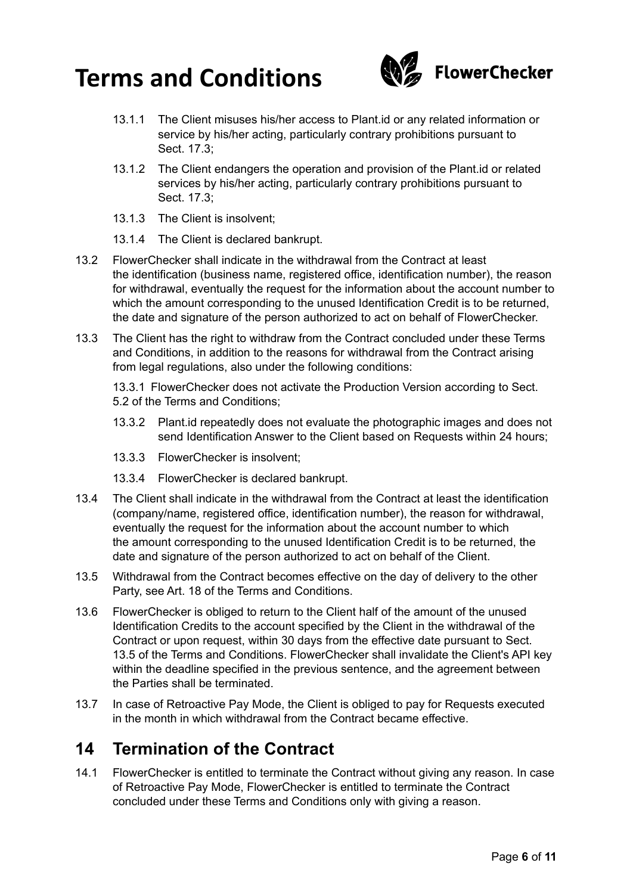

- 13.1.1 The Client misuses his/her access to Plant.id or any related information or service by his/her acting, particularly contrary prohibitions pursuant to Sect. 17.3;
- 13.1.2 The Client endangers the operation and provision of the Plant.id or related services by his/her acting, particularly contrary prohibitions pursuant to Sect. 17.3;
- 13.1.3 The Client is insolvent;
- 13.1.4 The Client is declared bankrupt.
- 13.2 FlowerChecker shall indicate in the withdrawal from the Contract at least the identification (business name, registered office, identification number), the reason for withdrawal, eventually the request for the information about the account number to which the amount corresponding to the unused Identification Credit is to be returned, the date and signature of the person authorized to act on behalf of FlowerChecker.
- 13.3 The Client has the right to withdraw from the Contract concluded under these Terms and Conditions, in addition to the reasons for withdrawal from the Contract arising from legal regulations, also under the following conditions:

13.3.1 FlowerChecker does not activate the Production Version according to Sect. 5.2 of the Terms and Conditions;

- 13.3.2 Plant.id repeatedly does not evaluate the photographic images and does not send Identification Answer to the Client based on Requests within 24 hours;
- 13.3.3 FlowerChecker is insolvent;
- 13.3.4 FlowerChecker is declared bankrupt.
- 13.4 The Client shall indicate in the withdrawal from the Contract at least the identification (company/name, registered office, identification number), the reason for withdrawal, eventually the request for the information about the account number to which the amount corresponding to the unused Identification Credit is to be returned, the date and signature of the person authorized to act on behalf of the Client.
- 13.5 Withdrawal from the Contract becomes effective on the day of delivery to the other Party, see Art. 18 of the Terms and Conditions.
- 13.6 FlowerChecker is obliged to return to the Client half of the amount of the unused Identification Credits to the account specified by the Client in the withdrawal of the Contract or upon request, within 30 days from the effective date pursuant to Sect. 13.5 of the Terms and Conditions. FlowerChecker shall invalidate the Client's API key within the deadline specified in the previous sentence, and the agreement between the Parties shall be terminated.
- 13.7 In case of Retroactive Pay Mode, the Client is obliged to pay for Requests executed in the month in which withdrawal from the Contract became effective.

#### **14 Termination of the Contract**

14.1 FlowerChecker is entitled to terminate the Contract without giving any reason. In case of Retroactive Pay Mode, FlowerChecker is entitled to terminate the Contract concluded under these Terms and Conditions only with giving a reason.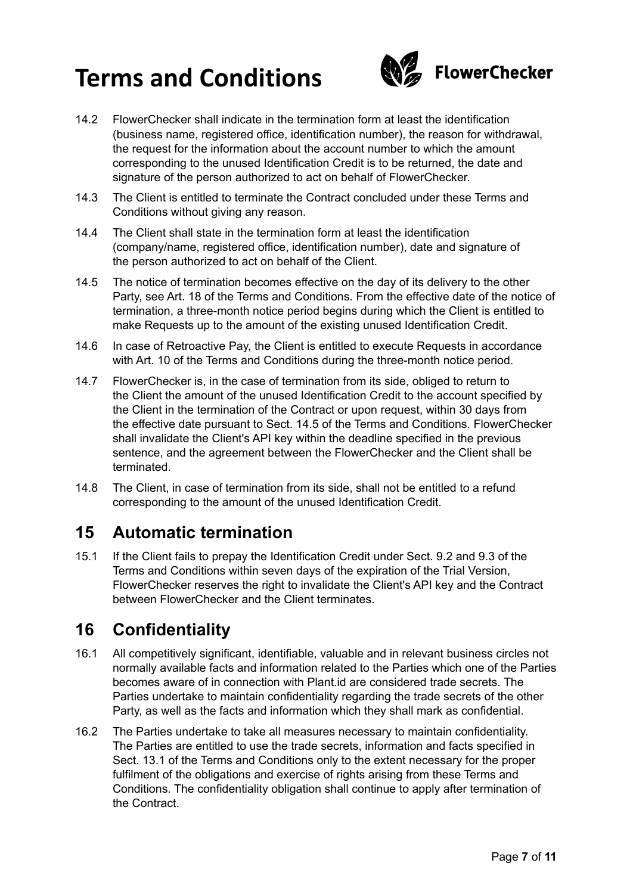

- 14.2 FlowerChecker shall indicate in the termination form at least the identification (business name, registered office, identification number), the reason for withdrawal, the request for the information about the account number to which the amount corresponding to the unused Identification Credit is to be returned, the date and signature of the person authorized to act on behalf of FlowerChecker.
- 14.3 The Client is entitled to terminate the Contract concluded under these Terms and Conditions without giving any reason.
- 14.4 The Client shall state in the termination form at least the identification (company/name, registered office, identification number), date and signature of the person authorized to act on behalf of the Client.
- 14.5 The notice of termination becomes effective on the day of its delivery to the other Party, see Art. 18 of the Terms and Conditions. From the effective date of the notice of termination, a three-month notice period begins during which the Client is entitled to make Requests up to the amount of the existing unused Identification Credit.
- 14.6 In case of Retroactive Pay, the Client is entitled to execute Requests in accordance with Art. 10 of the Terms and Conditions during the three-month notice period.
- 14.7 FlowerChecker is, in the case of termination from its side, obliged to return to the Client the amount of the unused Identification Credit to the account specified by the Client in the termination of the Contract or upon request, within 30 days from the effective date pursuant to Sect. 14.5 of the Terms and Conditions. FlowerChecker shall invalidate the Client's API key within the deadline specified in the previous sentence, and the agreement between the FlowerChecker and the Client shall be terminated.
- 14.8 The Client, in case of termination from its side, shall not be entitled to a refund corresponding to the amount of the unused Identification Credit.

### **15 Automatic termination**

15.1 If the Client fails to prepay the Identification Credit under Sect. 9.2 and 9.3 of the Terms and Conditions within seven days of the expiration of the Trial Version, FlowerChecker reserves the right to invalidate the Client's API key and the Contract between FlowerChecker and the Client terminates.

## **16 Confidentiality**

- 16.1 All competitively significant, identifiable, valuable and in relevant business circles not normally available facts and information related to the Parties which one of the Parties becomes aware of in connection with Plant.id are considered trade secrets. The Parties undertake to maintain confidentiality regarding the trade secrets of the other Party, as well as the facts and information which they shall mark as confidential.
- 16.2 The Parties undertake to take all measures necessary to maintain confidentiality. The Parties are entitled to use the trade secrets, information and facts specified in Sect. 13.1 of the Terms and Conditions only to the extent necessary for the proper fulfilment of the obligations and exercise of rights arising from these Terms and Conditions. The confidentiality obligation shall continue to apply after termination of the Contract.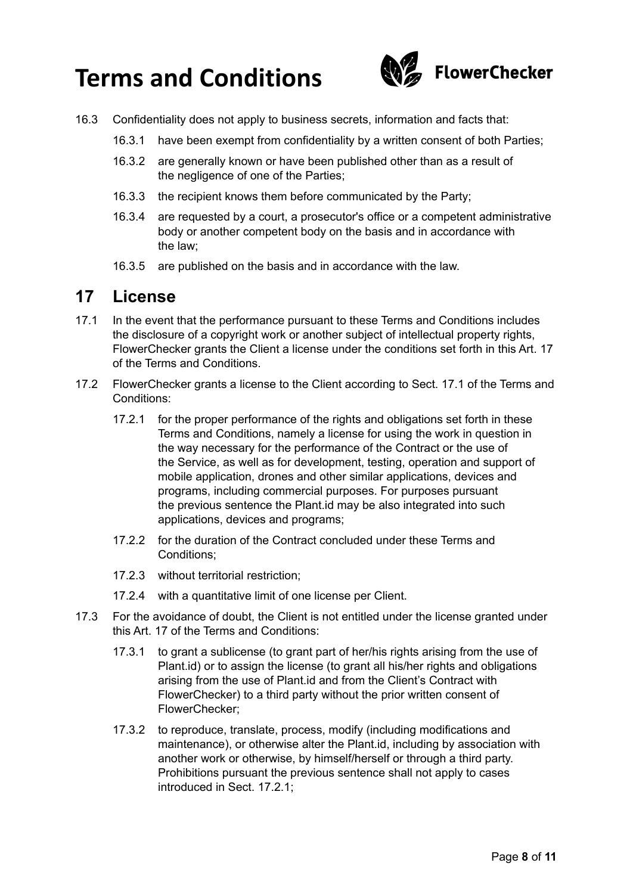

- 16.3 Confidentiality does not apply to business secrets, information and facts that:
	- 16.3.1 have been exempt from confidentiality by a written consent of both Parties;
	- 16.3.2 are generally known or have been published other than as a result of the negligence of one of the Parties;
	- 16.3.3 the recipient knows them before communicated by the Party;
	- 16.3.4 are requested by a court, a prosecutor's office or a competent administrative body or another competent body on the basis and in accordance with the law;
	- 16.3.5 are published on the basis and in accordance with the law.

#### **17 License**

- 17.1 In the event that the performance pursuant to these Terms and Conditions includes the disclosure of a copyright work or another subject of intellectual property rights, FlowerChecker grants the Client a license under the conditions set forth in this Art. 17 of the Terms and Conditions.
- 17.2 FlowerChecker grants a license to the Client according to Sect. 17.1 of the Terms and Conditions:
	- 17.2.1 for the proper performance of the rights and obligations set forth in these Terms and Conditions, namely a license for using the work in question in the way necessary for the performance of the Contract or the use of the Service, as well as for development, testing, operation and support of mobile application, drones and other similar applications, devices and programs, including commercial purposes. For purposes pursuant the previous sentence the Plant.id may be also integrated into such applications, devices and programs;
	- 17.2.2 for the duration of the Contract concluded under these Terms and Conditions;
	- 17.2.3 without territorial restriction;
	- 17.2.4 with a quantitative limit of one license per Client.
- 17.3 For the avoidance of doubt, the Client is not entitled under the license granted under this Art. 17 of the Terms and Conditions:
	- 17.3.1 to grant a sublicense (to grant part of her/his rights arising from the use of Plant.id) or to assign the license (to grant all his/her rights and obligations arising from the use of Plant.id and from the Client's Contract with FlowerChecker) to a third party without the prior written consent of FlowerChecker;
	- 17.3.2 to reproduce, translate, process, modify (including modifications and maintenance), or otherwise alter the Plant.id, including by association with another work or otherwise, by himself/herself or through a third party. Prohibitions pursuant the previous sentence shall not apply to cases introduced in Sect. 17.2.1;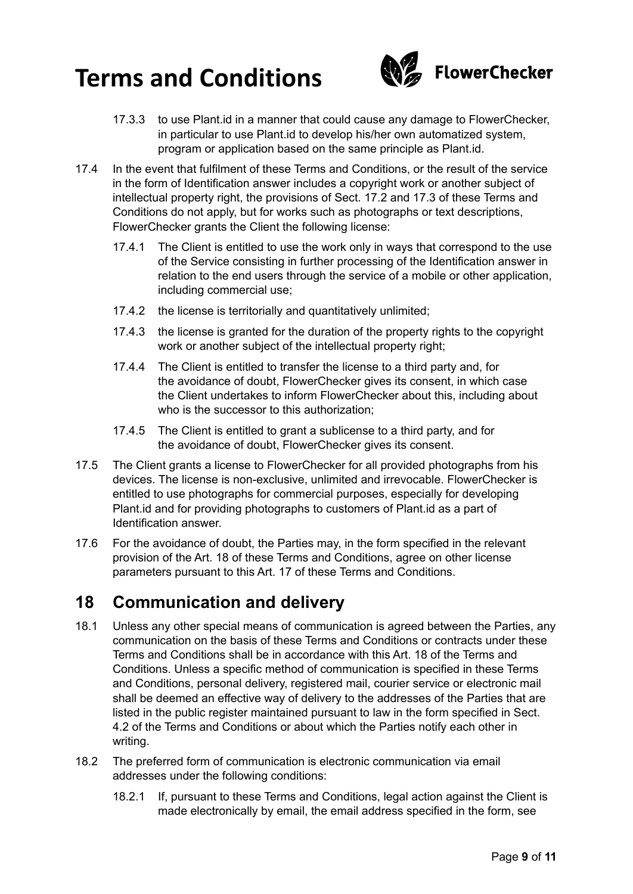

- 17.3.3 to use Plant.id in a manner that could cause any damage to FlowerChecker, in particular to use Plant.id to develop his/her own automatized system, program or application based on the same principle as Plant.id.
- 17.4 In the event that fulfilment of these Terms and Conditions, or the result of the service in the form of Identification answer includes a copyright work or another subject of intellectual property right, the provisions of Sect. 17.2 and 17.3 of these Terms and Conditions do not apply, but for works such as photographs or text descriptions, FlowerChecker grants the Client the following license:
	- 17.4.1 The Client is entitled to use the work only in ways that correspond to the use of the Service consisting in further processing of the Identification answer in relation to the end users through the service of a mobile or other application, including commercial use;
	- 17.4.2 the license is territorially and quantitatively unlimited;
	- 17.4.3 the license is granted for the duration of the property rights to the copyright work or another subject of the intellectual property right;
	- 17.4.4 The Client is entitled to transfer the license to a third party and, for the avoidance of doubt, FlowerChecker gives its consent, in which case the Client undertakes to inform FlowerChecker about this, including about who is the successor to this authorization;
	- 17.4.5 The Client is entitled to grant a sublicense to a third party, and for the avoidance of doubt, FlowerChecker gives its consent.
- 17.5 The Client grants a license to FlowerChecker for all provided photographs from his devices. The license is non-exclusive, unlimited and irrevocable. FlowerChecker is entitled to use photographs for commercial purposes, especially for developing Plant.id and for providing photographs to customers of Plant.id as a part of Identification answer.
- 17.6 For the avoidance of doubt, the Parties may, in the form specified in the relevant provision of the Art. 18 of these Terms and Conditions, agree on other license parameters pursuant to this Art. 17 of these Terms and Conditions.

### **18 Communication and delivery**

- 18.1 Unless any other special means of communication is agreed between the Parties, any communication on the basis of these Terms and Conditions or contracts under these Terms and Conditions shall be in accordance with this Art. 18 of the Terms and Conditions. Unless a specific method of communication is specified in these Terms and Conditions, personal delivery, registered mail, courier service or electronic mail shall be deemed an effective way of delivery to the addresses of the Parties that are listed in the public register maintained pursuant to law in the form specified in Sect. 4.2 of the Terms and Conditions or about which the Parties notify each other in writing.
- 18.2 The preferred form of communication is electronic communication via email addresses under the following conditions:
	- 18.2.1 If, pursuant to these Terms and Conditions, legal action against the Client is made electronically by email, the email address specified in the form, see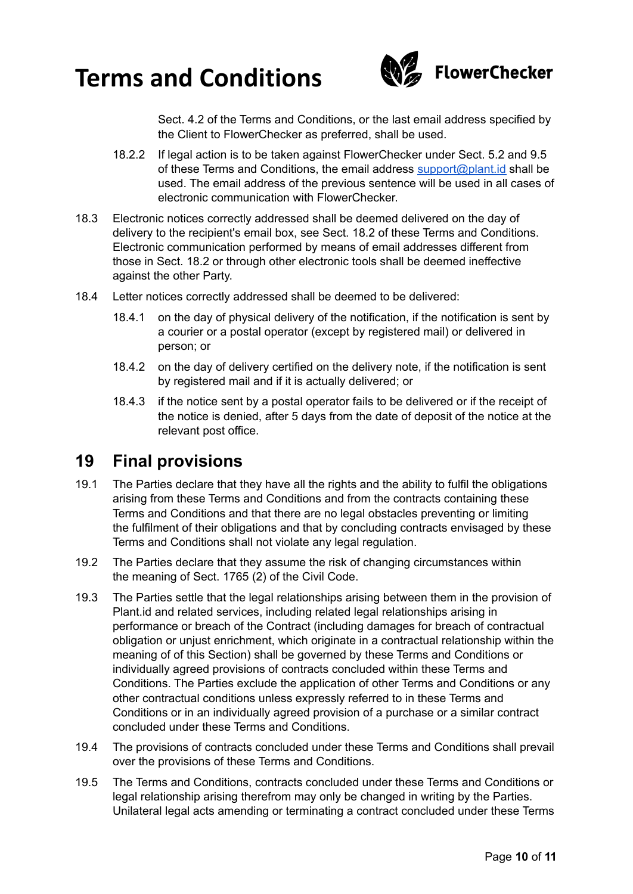

Sect. 4.2 of the Terms and Conditions, or the last email address specified by the Client to FlowerChecker as preferred, shall be used.

- 18.2.2 If legal action is to be taken against FlowerChecker under Sect. 5.2 and 9.5 of these Terms and Conditions, the email address [support@plant.id](mailto:support@plant.id) shall be used. The email address of the previous sentence will be used in all cases of electronic communication with FlowerChecker.
- 18.3 Electronic notices correctly addressed shall be deemed delivered on the day of delivery to the recipient's email box, see Sect. 18.2 of these Terms and Conditions. Electronic communication performed by means of email addresses different from those in Sect. 18.2 or through other electronic tools shall be deemed ineffective against the other Party.
- 18.4 Letter notices correctly addressed shall be deemed to be delivered:
	- 18.4.1 on the day of physical delivery of the notification, if the notification is sent by a courier or a postal operator (except by registered mail) or delivered in person; or
	- 18.4.2 on the day of delivery certified on the delivery note, if the notification is sent by registered mail and if it is actually delivered; or
	- 18.4.3 if the notice sent by a postal operator fails to be delivered or if the receipt of the notice is denied, after 5 days from the date of deposit of the notice at the relevant post office.

#### **19 Final provisions**

- 19.1 The Parties declare that they have all the rights and the ability to fulfil the obligations arising from these Terms and Conditions and from the contracts containing these Terms and Conditions and that there are no legal obstacles preventing or limiting the fulfilment of their obligations and that by concluding contracts envisaged by these Terms and Conditions shall not violate any legal regulation.
- 19.2 The Parties declare that they assume the risk of changing circumstances within the meaning of Sect. 1765 (2) of the Civil Code.
- 19.3 The Parties settle that the legal relationships arising between them in the provision of Plant.id and related services, including related legal relationships arising in performance or breach of the Contract (including damages for breach of contractual obligation or unjust enrichment, which originate in a contractual relationship within the meaning of of this Section) shall be governed by these Terms and Conditions or individually agreed provisions of contracts concluded within these Terms and Conditions. The Parties exclude the application of other Terms and Conditions or any other contractual conditions unless expressly referred to in these Terms and Conditions or in an individually agreed provision of a purchase or a similar contract concluded under these Terms and Conditions.
- 19.4 The provisions of contracts concluded under these Terms and Conditions shall prevail over the provisions of these Terms and Conditions.
- 19.5 The Terms and Conditions, contracts concluded under these Terms and Conditions or legal relationship arising therefrom may only be changed in writing by the Parties. Unilateral legal acts amending or terminating a contract concluded under these Terms